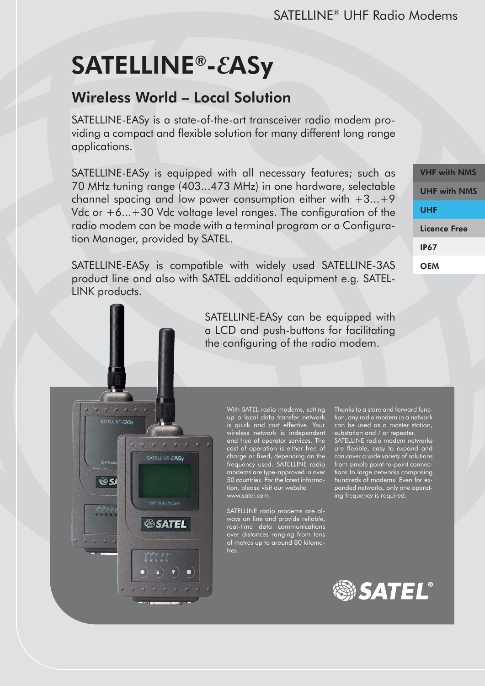# SATELLINE®-**E**ASy

SATELLINE-EASy

**®s** 

ن مي براي<u>.</u><br>م

r.

SATELLINE-EASy

**SATEL** 

# Wireless World – Local Solution

SATELLINE-EASy is a state-of-the-art transceiver radio modem providing a compact and flexible solution for many different long range applications.

SATELLINE-EASy is equipped with all necessary features; such as 70 MHz tuning range (403...473 MHz) in one hardware, selectable channel spacing and low power consumption either with  $+3...+9$ Vdc or +6...+30 Vdc voltage level ranges. The configuration of the radio modem can be made with a terminal program or a Configuration Manager, provided by SATEL.

SATELLINE-EASy is compatible with widely used SATELLINE-3AS product line and also with SATEL additional equipment e.g. SATEL-LINK products.

> SATELLINE-EASy can be equipped with a LCD and push-buttons for facilitating the configuring of the radio modem.

> > With SATEL radio modems, setting up a local data transfer network is quick and cost effective. Your wireless network is independent and free of operator services. The cost of operation is either free of charge or fixed, depending on the frequency used. SATELLINE radio modems are type-approved in over 50 countries. For the latest information, please visit our website www.satel.com.

SATELLINE radio modems are always on line and provide reliable, real-time data communications over distances ranging from tens of metres up to around 80 kilometres.

Thanks to a store and forward function, any radio modem in a network can be used as a master station, substation and / or repeater. SATELLINE radio modem networks are flexible, easy to expand and can cover a wide variety of solutions from simple point-to-point connections to large networks comprising hundreds of modems. Even for expanded networks, only one operating frequency is required.





VHF with NMS UHF with NMS UHF Licence Free IP67 **OEM**